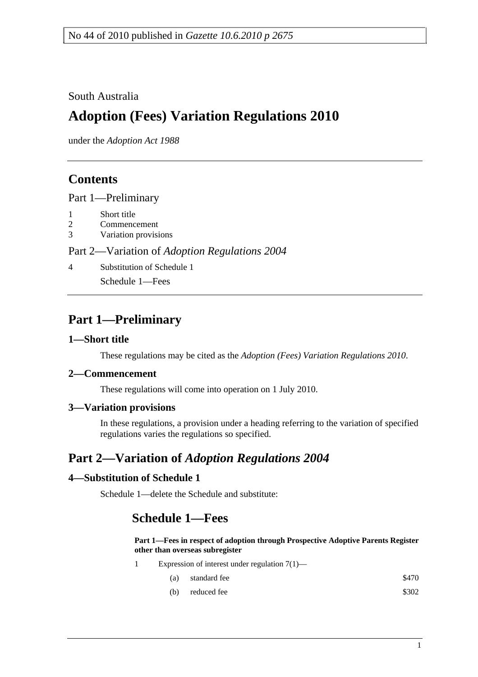### South Australia

# **Adoption (Fees) Variation Regulations 2010**

under the *Adoption Act 1988*

### **Contents**

Part 1—Preliminary

- 1 Short title
- 2 Commencement
- 3 Variation provisions

Part 2—Variation of *Adoption Regulations 2004*

4 Substitution of Schedule 1

Schedule 1—Fees

## **Part 1—Preliminary**

#### **1—Short title**

These regulations may be cited as the *Adoption (Fees) Variation Regulations 2010*.

#### **2—Commencement**

These regulations will come into operation on 1 July 2010.

#### **3—Variation provisions**

In these regulations, a provision under a heading referring to the variation of specified regulations varies the regulations so specified.

## **Part 2—Variation of** *Adoption Regulations 2004*

#### **4—Substitution of Schedule 1**

Schedule 1—delete the Schedule and substitute:

### **Schedule 1—Fees**

**Part 1—Fees in respect of adoption through Prospective Adoptive Parents Register other than overseas subregister**

- 1 Expression of interest under regulation 7(1)—
	- (a) standard fee  $\$470$
	- (b) reduced fee  $$302$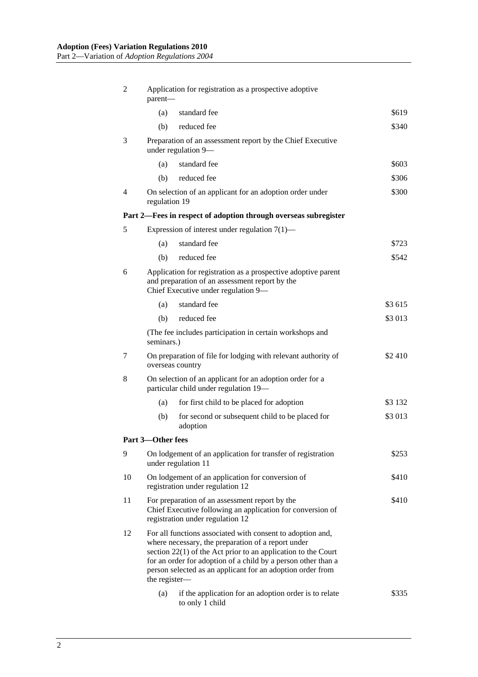| $\overline{2}$                                                  | Application for registration as a prospective adoptive<br>parent-                                                                                                                                                                                                                                                                   |                                                                                             |           |  |  |  |
|-----------------------------------------------------------------|-------------------------------------------------------------------------------------------------------------------------------------------------------------------------------------------------------------------------------------------------------------------------------------------------------------------------------------|---------------------------------------------------------------------------------------------|-----------|--|--|--|
|                                                                 | (a)                                                                                                                                                                                                                                                                                                                                 | standard fee                                                                                | \$619     |  |  |  |
|                                                                 | (b)                                                                                                                                                                                                                                                                                                                                 | reduced fee                                                                                 | \$340     |  |  |  |
| 3                                                               | Preparation of an assessment report by the Chief Executive<br>under regulation 9-                                                                                                                                                                                                                                                   |                                                                                             |           |  |  |  |
|                                                                 | (a)                                                                                                                                                                                                                                                                                                                                 | standard fee                                                                                | \$603     |  |  |  |
|                                                                 | (b)                                                                                                                                                                                                                                                                                                                                 | reduced fee                                                                                 | \$306     |  |  |  |
| $\overline{4}$                                                  | On selection of an applicant for an adoption order under<br>\$300<br>regulation 19                                                                                                                                                                                                                                                  |                                                                                             |           |  |  |  |
| Part 2—Fees in respect of adoption through overseas subregister |                                                                                                                                                                                                                                                                                                                                     |                                                                                             |           |  |  |  |
| 5                                                               |                                                                                                                                                                                                                                                                                                                                     | Expression of interest under regulation $7(1)$ —                                            |           |  |  |  |
|                                                                 | (a)                                                                                                                                                                                                                                                                                                                                 | standard fee                                                                                | \$723     |  |  |  |
|                                                                 | (b)                                                                                                                                                                                                                                                                                                                                 | reduced fee                                                                                 | \$542     |  |  |  |
| 6                                                               | Application for registration as a prospective adoptive parent<br>and preparation of an assessment report by the<br>Chief Executive under regulation 9-                                                                                                                                                                              |                                                                                             |           |  |  |  |
|                                                                 | (a)                                                                                                                                                                                                                                                                                                                                 | standard fee                                                                                | \$3 615   |  |  |  |
|                                                                 | (b)                                                                                                                                                                                                                                                                                                                                 | reduced fee                                                                                 | \$3 013   |  |  |  |
|                                                                 | (The fee includes participation in certain workshops and<br>seminars.)                                                                                                                                                                                                                                                              |                                                                                             |           |  |  |  |
| 7                                                               |                                                                                                                                                                                                                                                                                                                                     | On preparation of file for lodging with relevant authority of<br>\$2410<br>overseas country |           |  |  |  |
| 8                                                               | On selection of an applicant for an adoption order for a<br>particular child under regulation 19-                                                                                                                                                                                                                                   |                                                                                             |           |  |  |  |
|                                                                 | (a)                                                                                                                                                                                                                                                                                                                                 | for first child to be placed for adoption                                                   | \$3 1 3 2 |  |  |  |
|                                                                 | (b)                                                                                                                                                                                                                                                                                                                                 | for second or subsequent child to be placed for<br>adoption                                 | \$3 013   |  |  |  |
|                                                                 | Part 3-Other fees                                                                                                                                                                                                                                                                                                                   |                                                                                             |           |  |  |  |
| 9                                                               |                                                                                                                                                                                                                                                                                                                                     | On lodgement of an application for transfer of registration<br>under regulation 11          | \$253     |  |  |  |
| 10                                                              | On lodgement of an application for conversion of<br>registration under regulation 12                                                                                                                                                                                                                                                |                                                                                             | \$410     |  |  |  |
| 11                                                              | For preparation of an assessment report by the<br>\$410<br>Chief Executive following an application for conversion of<br>registration under regulation 12                                                                                                                                                                           |                                                                                             |           |  |  |  |
| 12                                                              | For all functions associated with consent to adoption and,<br>where necessary, the preparation of a report under<br>section $22(1)$ of the Act prior to an application to the Court<br>for an order for adoption of a child by a person other than a<br>person selected as an applicant for an adoption order from<br>the register- |                                                                                             |           |  |  |  |
|                                                                 | (a)                                                                                                                                                                                                                                                                                                                                 | if the application for an adoption order is to relate<br>to only 1 child                    | \$335     |  |  |  |